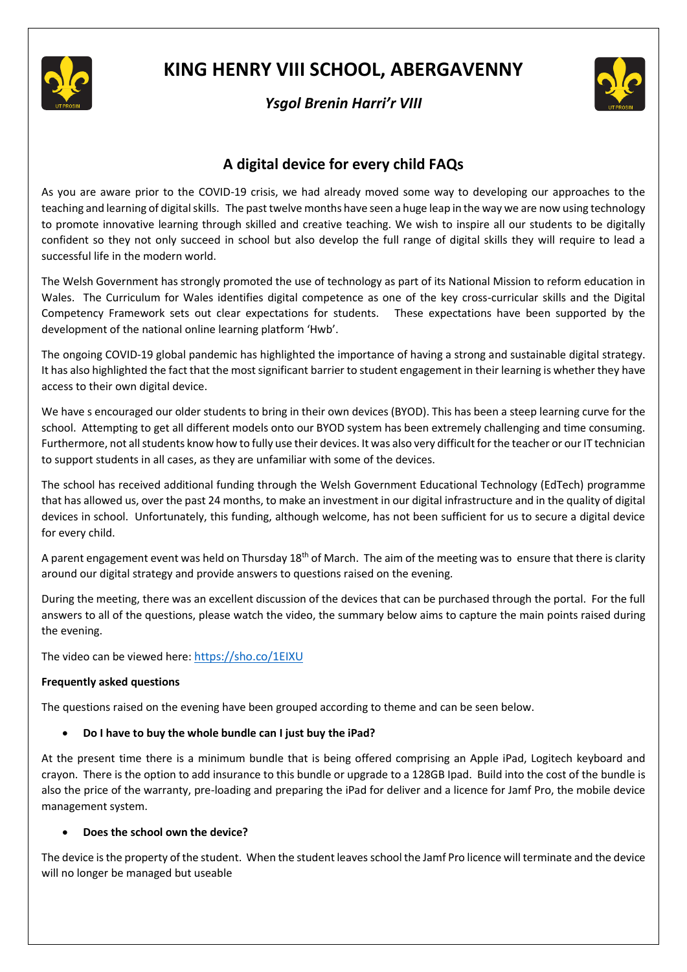

# **KING HENRY VIII SCHOOL, ABERGAVENNY**





# **A digital device for every child FAQs**

As you are aware prior to the COVID-19 crisis, we had already moved some way to developing our approaches to the teaching and learning of digital skills. The past twelve months have seen a huge leap in the way we are now using technology to promote innovative learning through skilled and creative teaching. We wish to inspire all our students to be digitally confident so they not only succeed in school but also develop the full range of digital skills they will require to lead a successful life in the modern world.

The Welsh Government has strongly promoted the use of technology as part of its National Mission to reform education in Wales. The Curriculum for Wales identifies digital competence as one of the key cross-curricular skills and the Digital Competency Framework sets out clear expectations for students. These expectations have been supported by the development of the national online learning platform 'Hwb'.

The ongoing COVID-19 global pandemic has highlighted the importance of having a strong and sustainable digital strategy. It has also highlighted the fact that the most significant barrier to student engagement in their learning is whether they have access to their own digital device.

We have s encouraged our older students to bring in their own devices (BYOD). This has been a steep learning curve for the school. Attempting to get all different models onto our BYOD system has been extremely challenging and time consuming. Furthermore, not all students know how to fully use their devices. It was also very difficult for the teacher or our IT technician to support students in all cases, as they are unfamiliar with some of the devices.

The school has received additional funding through the Welsh Government Educational Technology (EdTech) programme that has allowed us, over the past 24 months, to make an investment in our digital infrastructure and in the quality of digital devices in school. Unfortunately, this funding, although welcome, has not been sufficient for us to secure a digital device for every child.

A parent engagement event was held on Thursday 18<sup>th</sup> of March. The aim of the meeting was to ensure that there is clarity around our digital strategy and provide answers to questions raised on the evening.

During the meeting, there was an excellent discussion of the devices that can be purchased through the portal. For the full answers to all of the questions, please watch the video, the summary below aims to capture the main points raised during the evening.

The video can be viewed here: <https://sho.co/1EIXU>

#### **Frequently asked questions**

The questions raised on the evening have been grouped according to theme and can be seen below.

# • **Do I have to buy the whole bundle can I just buy the iPad?**

At the present time there is a minimum bundle that is being offered comprising an Apple iPad, Logitech keyboard and crayon. There is the option to add insurance to this bundle or upgrade to a 128GB Ipad. Build into the cost of the bundle is also the price of the warranty, pre-loading and preparing the iPad for deliver and a licence for Jamf Pro, the mobile device management system.

#### • **Does the school own the device?**

The device is the property of the student. When the student leaves school the Jamf Pro licence will terminate and the device will no longer be managed but useable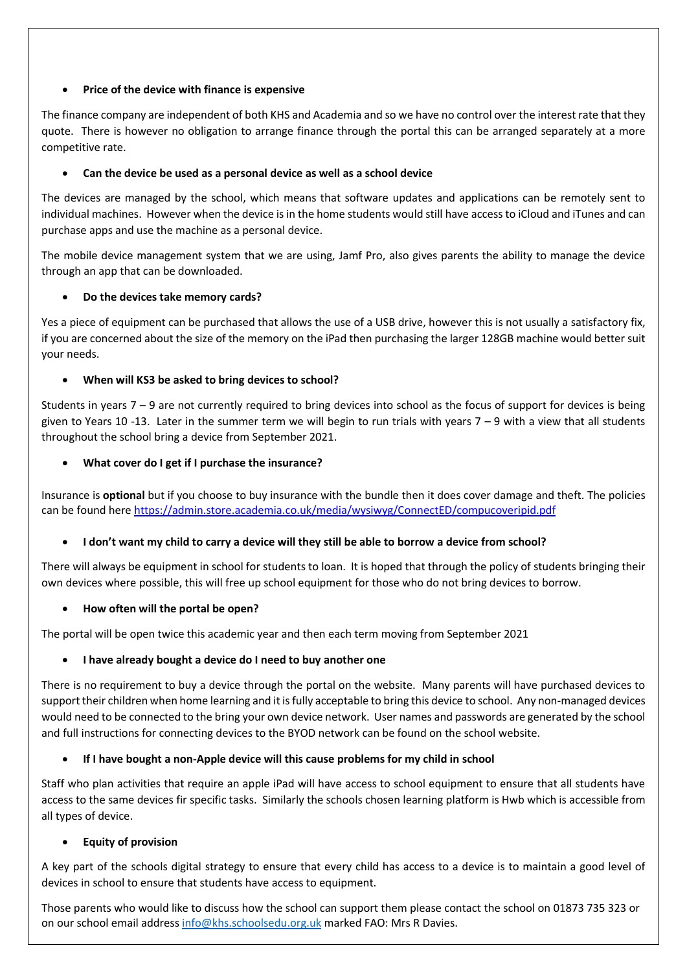### • **Price of the device with finance is expensive**

The finance company are independent of both KHS and Academia and so we have no control over the interest rate that they quote. There is however no obligation to arrange finance through the portal this can be arranged separately at a more competitive rate.

# • **Can the device be used as a personal device as well as a school device**

The devices are managed by the school, which means that software updates and applications can be remotely sent to individual machines. However when the device is in the home students would still have access to iCloud and iTunes and can purchase apps and use the machine as a personal device.

The mobile device management system that we are using, Jamf Pro, also gives parents the ability to manage the device through an app that can be downloaded.

# • **Do the devices take memory cards?**

Yes a piece of equipment can be purchased that allows the use of a USB drive, however this is not usually a satisfactory fix, if you are concerned about the size of the memory on the iPad then purchasing the larger 128GB machine would better suit your needs.

# • **When will KS3 be asked to bring devices to school?**

Students in years  $7 - 9$  are not currently required to bring devices into school as the focus of support for devices is being given to Years 10 -13. Later in the summer term we will begin to run trials with years  $7 - 9$  with a view that all students throughout the school bring a device from September 2021.

# • **What cover do I get if I purchase the insurance?**

Insurance is **optional** but if you choose to buy insurance with the bundle then it does cover damage and theft. The policies can be found here<https://admin.store.academia.co.uk/media/wysiwyg/ConnectED/compucoveripid.pdf>

# • **I don't want my child to carry a device will they still be able to borrow a device from school?**

There will always be equipment in school for students to loan. It is hoped that through the policy of students bringing their own devices where possible, this will free up school equipment for those who do not bring devices to borrow.

#### • **How often will the portal be open?**

The portal will be open twice this academic year and then each term moving from September 2021

#### • **I have already bought a device do I need to buy another one**

There is no requirement to buy a device through the portal on the website. Many parents will have purchased devices to support their children when home learning and it is fully acceptable to bring this device to school. Any non-managed devices would need to be connected to the bring your own device network. User names and passwords are generated by the school and full instructions for connecting devices to the BYOD network can be found on the school website.

#### • **If I have bought a non-Apple device will this cause problems for my child in school**

Staff who plan activities that require an apple iPad will have access to school equipment to ensure that all students have access to the same devices fir specific tasks. Similarly the schools chosen learning platform is Hwb which is accessible from all types of device.

#### • **Equity of provision**

A key part of the schools digital strategy to ensure that every child has access to a device is to maintain a good level of devices in school to ensure that students have access to equipment.

Those parents who would like to discuss how the school can support them please contact the school on 01873 735 323 or on our school email address [info@khs.schoolsedu.org.uk](mailto:info@khs.schoolsedu.org.uk) marked FAO: Mrs R Davies.